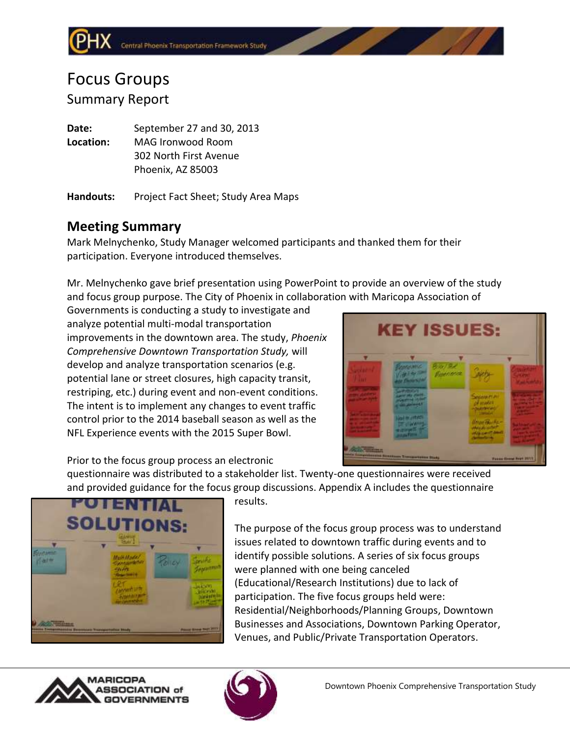# Focus Groups Summary Report

**Date:** September 27 and 30, 2013 **Location:** MAG Ironwood Room 302 North First Avenue Phoenix, AZ 85003

**Handouts:** Project Fact Sheet; Study Area Maps

# **Meeting Summary**

Mark Melnychenko, Study Manager welcomed participants and thanked them for their participation. Everyone introduced themselves.

Mr. Melnychenko gave brief presentation using PowerPoint to provide an overview of the study and focus group purpose. The City of Phoenix in collaboration with Maricopa Association of

Governments is conducting a study to investigate and analyze potential multi-modal transportation improvements in the downtown area. The study, *Phoenix Comprehensive Downtown Transportation Study,* will develop and analyze transportation scenarios (e.g. potential lane or street closures, high capacity transit, restriping, etc.) during event and non-event conditions. The intent is to implement any changes to event traffic control prior to the 2014 baseball season as well as the NFL Experience events with the 2015 Super Bowl.



Prior to the focus group process an electronic

questionnaire was distributed to a stakeholder list. Twenty-one questionnaires were received and provided guidance for the focus group discussions. Appendix A includes the questionnaire



results.

The purpose of the focus group process was to understand issues related to downtown traffic during events and to identify possible solutions. A series of six focus groups were planned with one being canceled (Educational/Research Institutions) due to lack of participation. The five focus groups held were: Residential/Neighborhoods/Planning Groups, Downtown Businesses and Associations, Downtown Parking Operator, Venues, and Public/Private Transportation Operators.



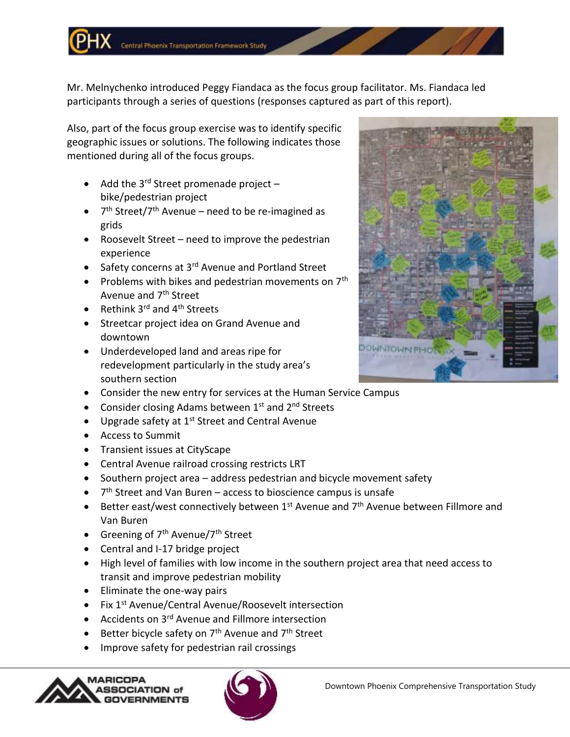Mr. Melnychenko introduced Peggy Fiandaca as the focus group facilitator. Ms. Fiandaca led participants through a series of questions (responses captured as part of this report).

Also, part of the focus group exercise was to identify specific geographic issues or solutions. The following indicates those mentioned during all of the focus groups.

- Add the  $3^{rd}$  Street promenade project bike/pedestrian project
- 7<sup>th</sup> Street/7<sup>th</sup> Avenue need to be re-imagined as grids
- Roosevelt Street need to improve the pedestrian experience
- Safety concerns at 3<sup>rd</sup> Avenue and Portland Street
- Problems with bikes and pedestrian movements on  $7<sup>th</sup>$ Avenue and 7th Street
- Rethink  $3^{rd}$  and  $4^{th}$  Streets
- **•** Streetcar project idea on Grand Avenue and downtown
- Underdeveloped land and areas ripe for redevelopment particularly in the study area's southern section
- Consider the new entry for services at the Human Service Campus
- Consider closing Adams between  $1^{st}$  and  $2^{nd}$  Streets
- $\bullet$  Upgrade safety at 1<sup>st</sup> Street and Central Avenue
- Access to Summit
- Transient issues at CityScape
- Central Avenue railroad crossing restricts LRT
- Southern project area address pedestrian and bicycle movement safety
- $\bullet$  7<sup>th</sup> Street and Van Buren access to bioscience campus is unsafe
- **•** Better east/west connectively between  $1^{st}$  Avenue and  $7^{th}$  Avenue between Fillmore and Van Buren
- Greening of  $7<sup>th</sup>$  Avenue/ $7<sup>th</sup>$  Street
- Central and I-17 bridge project
- High level of families with low income in the southern project area that need access to transit and improve pedestrian mobility
- Eliminate the one-way pairs
- Fix 1<sup>st</sup> Avenue/Central Avenue/Roosevelt intersection
- Accidents on 3<sup>rd</sup> Avenue and Fillmore intersection
- Better bicycle safety on  $7<sup>th</sup>$  Avenue and  $7<sup>th</sup>$  Street
- Improve safety for pedestrian rail crossings





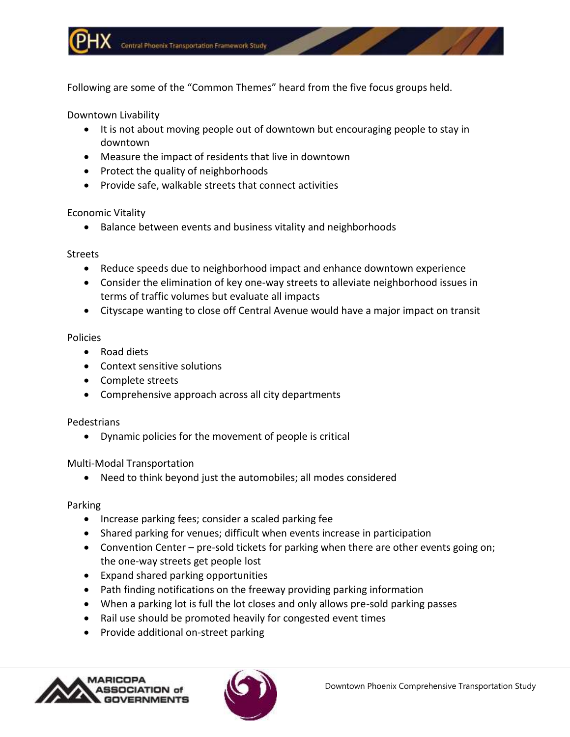Following are some of the "Common Themes" heard from the five focus groups held.

Downtown Livability

- It is not about moving people out of downtown but encouraging people to stay in downtown
- Measure the impact of residents that live in downtown
- Protect the quality of neighborhoods
- Provide safe, walkable streets that connect activities

# Economic Vitality

• Balance between events and business vitality and neighborhoods

# Streets

- Reduce speeds due to neighborhood impact and enhance downtown experience
- Consider the elimination of key one-way streets to alleviate neighborhood issues in terms of traffic volumes but evaluate all impacts
- Cityscape wanting to close off Central Avenue would have a major impact on transit

# Policies

- Road diets
- Context sensitive solutions
- Complete streets
- Comprehensive approach across all city departments

# Pedestrians

Dynamic policies for the movement of people is critical

# Multi-Modal Transportation

Need to think beyond just the automobiles; all modes considered

# Parking

- Increase parking fees; consider a scaled parking fee
- Shared parking for venues; difficult when events increase in participation
- Convention Center pre-sold tickets for parking when there are other events going on; the one-way streets get people lost
- Expand shared parking opportunities
- Path finding notifications on the freeway providing parking information
- When a parking lot is full the lot closes and only allows pre-sold parking passes
- Rail use should be promoted heavily for congested event times
- Provide additional on-street parking



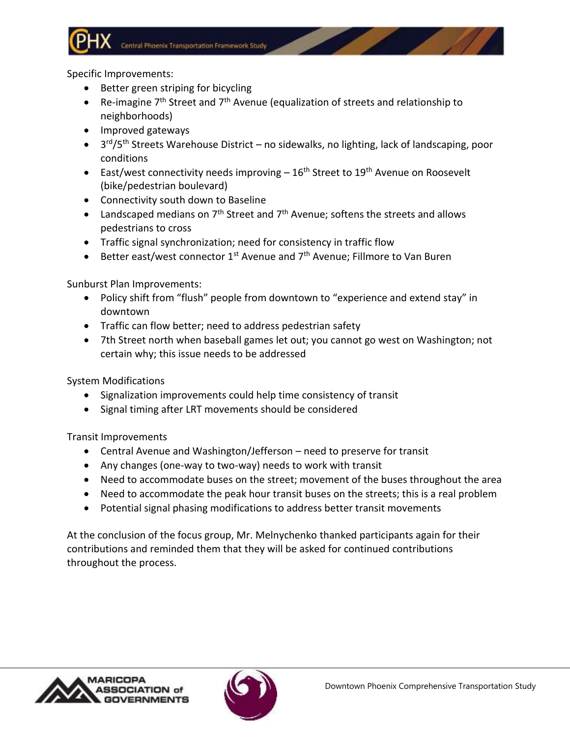

Specific Improvements:

- Better green striping for bicycling
- Re-imagine  $7<sup>th</sup>$  Street and  $7<sup>th</sup>$  Avenue (equalization of streets and relationship to neighborhoods)
- Improved gateways
- 3<sup>rd</sup>/5<sup>th</sup> Streets Warehouse District no sidewalks, no lighting, lack of landscaping, poor conditions
- East/west connectivity needs improving  $-16<sup>th</sup>$  Street to 19<sup>th</sup> Avenue on Roosevelt (bike/pedestrian boulevard)
- Connectivity south down to Baseline
- Landscaped medians on  $7<sup>th</sup>$  Street and  $7<sup>th</sup>$  Avenue; softens the streets and allows pedestrians to cross
- Traffic signal synchronization; need for consistency in traffic flow
- **Better east/west connector 1st Avenue and 7th Avenue; Fillmore to Van Buren**

Sunburst Plan Improvements:

- Policy shift from "flush" people from downtown to "experience and extend stay" in downtown
- Traffic can flow better; need to address pedestrian safety
- 7th Street north when baseball games let out; you cannot go west on Washington; not certain why; this issue needs to be addressed

System Modifications

- Signalization improvements could help time consistency of transit
- Signal timing after LRT movements should be considered

Transit Improvements

- Central Avenue and Washington/Jefferson need to preserve for transit
- Any changes (one-way to two-way) needs to work with transit
- Need to accommodate buses on the street; movement of the buses throughout the area
- Need to accommodate the peak hour transit buses on the streets; this is a real problem
- Potential signal phasing modifications to address better transit movements

At the conclusion of the focus group, Mr. Melnychenko thanked participants again for their contributions and reminded them that they will be asked for continued contributions throughout the process.



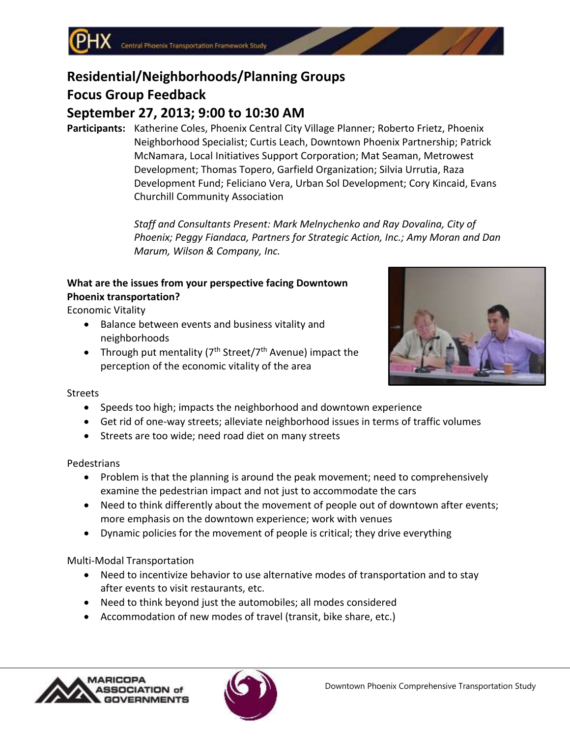# **Residential/Neighborhoods/Planning Groups**

# **Focus Group Feedback**

# **September 27, 2013; 9:00 to 10:30 AM**

**Participants:** Katherine Coles, Phoenix Central City Village Planner; Roberto Frietz, Phoenix Neighborhood Specialist; Curtis Leach, Downtown Phoenix Partnership; Patrick McNamara, Local Initiatives Support Corporation; Mat Seaman, Metrowest Development; Thomas Topero, Garfield Organization; Silvia Urrutia, Raza Development Fund; Feliciano Vera, Urban Sol Development; Cory Kincaid, Evans Churchill Community Association

> *Staff and Consultants Present: Mark Melnychenko and Ray Dovalina, City of Phoenix; Peggy Fiandaca, Partners for Strategic Action, Inc.; Amy Moran and Dan Marum, Wilson & Company, Inc.*

# **What are the issues from your perspective facing Downtown Phoenix transportation?**

Economic Vitality

- Balance between events and business vitality and neighborhoods
- Through put mentality ( $7<sup>th</sup> Street/7<sup>th</sup>$  Avenue) impact the perception of the economic vitality of the area



# **Streets**

- Speeds too high; impacts the neighborhood and downtown experience
- Get rid of one-way streets; alleviate neighborhood issues in terms of traffic volumes
- Streets are too wide; need road diet on many streets

# Pedestrians

- Problem is that the planning is around the peak movement; need to comprehensively examine the pedestrian impact and not just to accommodate the cars
- Need to think differently about the movement of people out of downtown after events; more emphasis on the downtown experience; work with venues
- Dynamic policies for the movement of people is critical; they drive everything

# Multi-Modal Transportation

- Need to incentivize behavior to use alternative modes of transportation and to stay after events to visit restaurants, etc.
- Need to think beyond just the automobiles; all modes considered
- Accommodation of new modes of travel (transit, bike share, etc.)



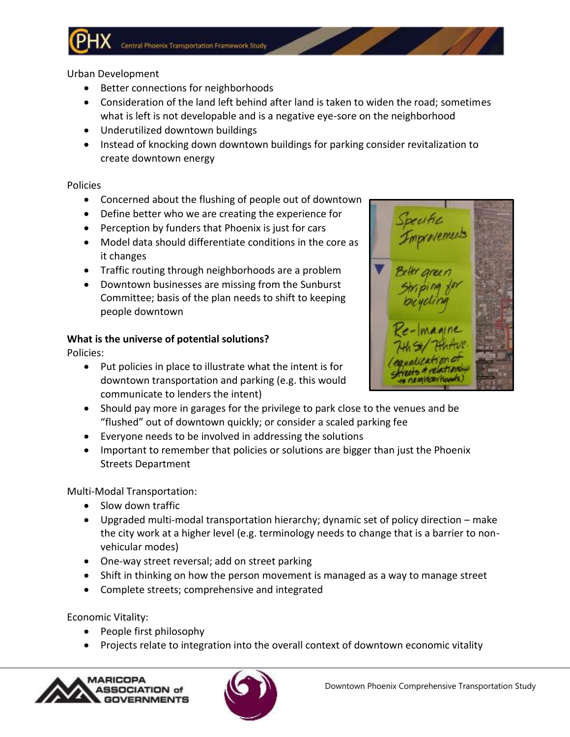# Urban Development

- Better connections for neighborhoods
- Consideration of the land left behind after land is taken to widen the road; sometimes what is left is not developable and is a negative eye-sore on the neighborhood
- Underutilized downtown buildings
- Instead of knocking down downtown buildings for parking consider revitalization to create downtown energy

## Policies

- Concerned about the flushing of people out of downtown
- Define better who we are creating the experience for
- Perception by funders that Phoenix is just for cars
- Model data should differentiate conditions in the core as it changes
- Traffic routing through neighborhoods are a problem
- Downtown businesses are missing from the Sunburst Committee; basis of the plan needs to shift to keeping people downtown

# **What is the universe of potential solutions?**

Policies:

- Put policies in place to illustrate what the intent is for downtown transportation and parking (e.g. this would communicate to lenders the intent)
- Should pay more in garages for the privilege to park close to the venues and be "flushed" out of downtown quickly; or consider a scaled parking fee
- Everyone needs to be involved in addressing the solutions
- Important to remember that policies or solutions are bigger than just the Phoenix Streets Department

Multi-Modal Transportation:

- Slow down traffic
- Upgraded multi-modal transportation hierarchy; dynamic set of policy direction make the city work at a higher level (e.g. terminology needs to change that is a barrier to nonvehicular modes)
- One-way street reversal; add on street parking
- Shift in thinking on how the person movement is managed as a way to manage street
- Complete streets; comprehensive and integrated

Economic Vitality:

- People first philosophy
- Projects relate to integration into the overall context of downtown economic vitality





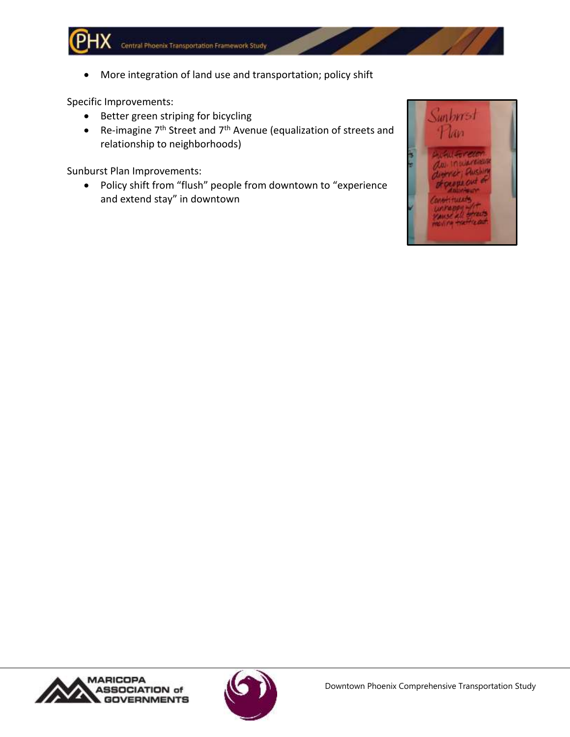More integration of land use and transportation; policy shift

Specific Improvements:

- Better green striping for bicycling
- Re-imagine  $7<sup>th</sup>$  Street and  $7<sup>th</sup>$  Avenue (equalization of streets and relationship to neighborhoods)

Sunburst Plan Improvements:

 Policy shift from "flush" people from downtown to "experience and extend stay" in downtown





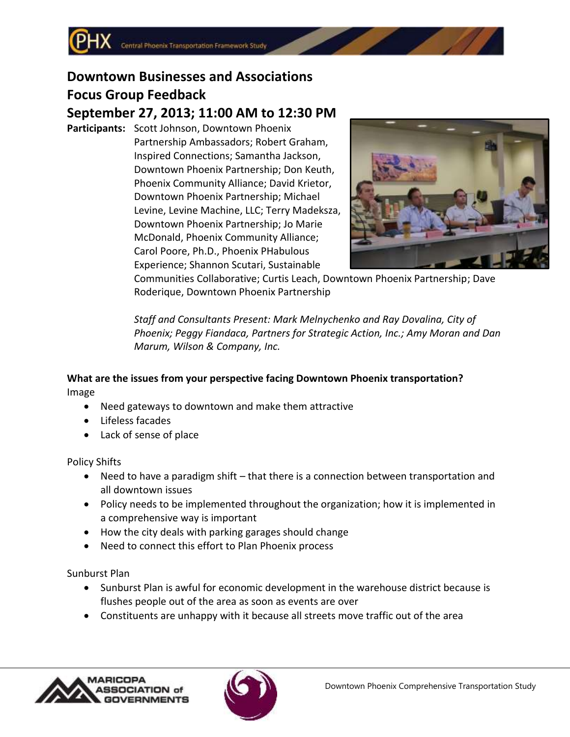# **Downtown Businesses and Associations Focus Group Feedback**

# **September 27, 2013; 11:00 AM to 12:30 PM**

**Participants:** Scott Johnson, Downtown Phoenix Partnership Ambassadors; Robert Graham, Inspired Connections; Samantha Jackson, Downtown Phoenix Partnership; Don Keuth, Phoenix Community Alliance; David Krietor, Downtown Phoenix Partnership; Michael Levine, Levine Machine, LLC; Terry Madeksza, Downtown Phoenix Partnership; Jo Marie McDonald, Phoenix Community Alliance; Carol Poore, Ph.D., Phoenix PHabulous Experience; Shannon Scutari, Sustainable



Communities Collaborative; Curtis Leach, Downtown Phoenix Partnership; Dave Roderique, Downtown Phoenix Partnership

*Staff and Consultants Present: Mark Melnychenko and Ray Dovalina, City of Phoenix; Peggy Fiandaca, Partners for Strategic Action, Inc.; Amy Moran and Dan Marum, Wilson & Company, Inc.*

# **What are the issues from your perspective facing Downtown Phoenix transportation?** Image

- Need gateways to downtown and make them attractive
- Lifeless facades
- Lack of sense of place

Policy Shifts

- Need to have a paradigm shift that there is a connection between transportation and all downtown issues
- Policy needs to be implemented throughout the organization; how it is implemented in a comprehensive way is important
- How the city deals with parking garages should change
- Need to connect this effort to Plan Phoenix process

Sunburst Plan

- Sunburst Plan is awful for economic development in the warehouse district because is flushes people out of the area as soon as events are over
- Constituents are unhappy with it because all streets move traffic out of the area



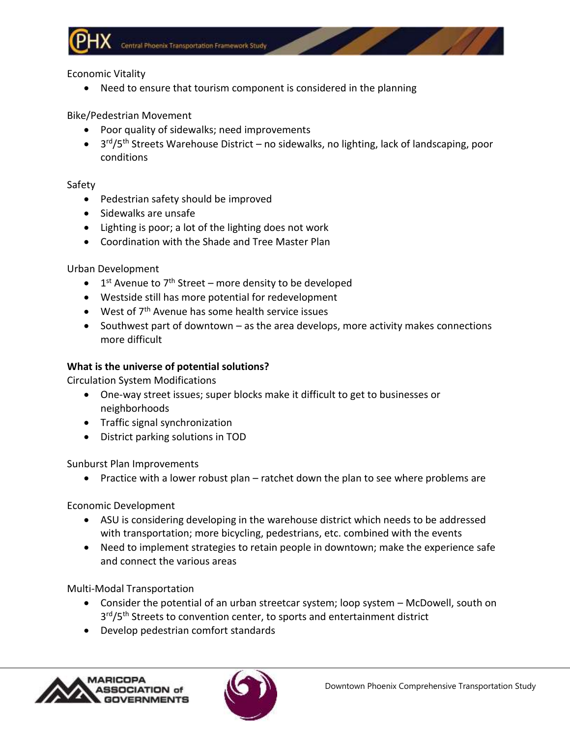

Economic Vitality

Need to ensure that tourism component is considered in the planning

Bike/Pedestrian Movement

- Poor quality of sidewalks; need improvements
- 3<sup>rd</sup>/5<sup>th</sup> Streets Warehouse District no sidewalks, no lighting, lack of landscaping, poor conditions

Safety

- Pedestrian safety should be improved
- Sidewalks are unsafe
- Lighting is poor; a lot of the lighting does not work
- Coordination with the Shade and Tree Master Plan

Urban Development

- $\bullet$  1<sup>st</sup> Avenue to 7<sup>th</sup> Street more density to be developed
- Westside still has more potential for redevelopment
- $\bullet$  West of  $7<sup>th</sup>$  Avenue has some health service issues
- Southwest part of downtown as the area develops, more activity makes connections more difficult

# **What is the universe of potential solutions?**

Circulation System Modifications

- One-way street issues; super blocks make it difficult to get to businesses or neighborhoods
- Traffic signal synchronization
- District parking solutions in TOD

Sunburst Plan Improvements

Practice with a lower robust plan – ratchet down the plan to see where problems are

Economic Development

- ASU is considering developing in the warehouse district which needs to be addressed with transportation; more bicycling, pedestrians, etc. combined with the events
- Need to implement strategies to retain people in downtown; make the experience safe and connect the various areas

Multi-Modal Transportation

- Consider the potential of an urban streetcar system; loop system McDowell, south on 3<sup>rd</sup>/5<sup>th</sup> Streets to convention center, to sports and entertainment district
- Develop pedestrian comfort standards



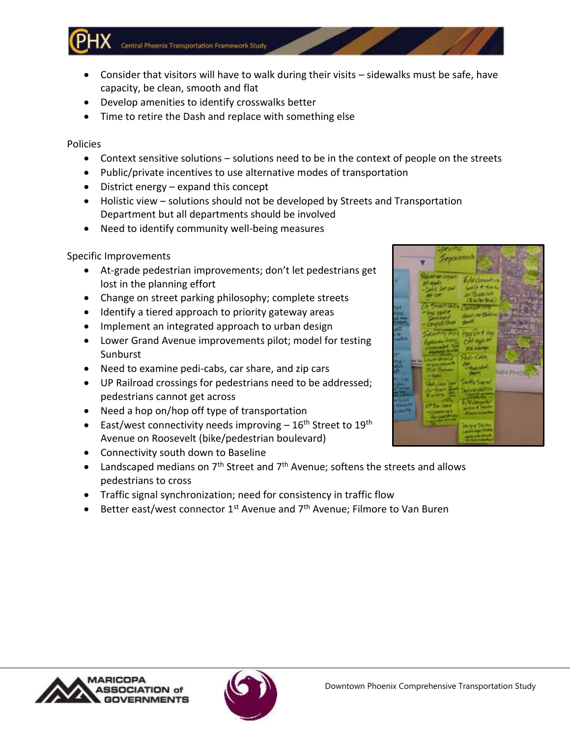Central Phoenix Transportation Framework Study

- Consider that visitors will have to walk during their visits sidewalks must be safe, have capacity, be clean, smooth and flat
- Develop amenities to identify crosswalks better
- Time to retire the Dash and replace with something else

Policies

- Context sensitive solutions solutions need to be in the context of people on the streets
- Public/private incentives to use alternative modes of transportation
- District energy expand this concept
- Holistic view solutions should not be developed by Streets and Transportation Department but all departments should be involved
- Need to identify community well-being measures

# Specific Improvements

- At-grade pedestrian improvements; don't let pedestrians get lost in the planning effort
- Change on street parking philosophy; complete streets
- Identify a tiered approach to priority gateway areas
- Implement an integrated approach to urban design
- Lower Grand Avenue improvements pilot; model for testing **Sunburst**
- Need to examine pedi-cabs, car share, and zip cars
- UP Railroad crossings for pedestrians need to be addressed; pedestrians cannot get across
- Need a hop on/hop off type of transportation
- East/west connectivity needs improving  $-16<sup>th</sup>$  Street to 19<sup>th</sup> Avenue on Roosevelt (bike/pedestrian boulevard)
- Connectivity south down to Baseline
- Landscaped medians on  $7<sup>th</sup>$  Street and  $7<sup>th</sup>$  Avenue; softens the streets and allows pedestrians to cross
- Traffic signal synchronization; need for consistency in traffic flow
- Better east/west connector 1<sup>st</sup> Avenue and 7<sup>th</sup> Avenue; Filmore to Van Buren



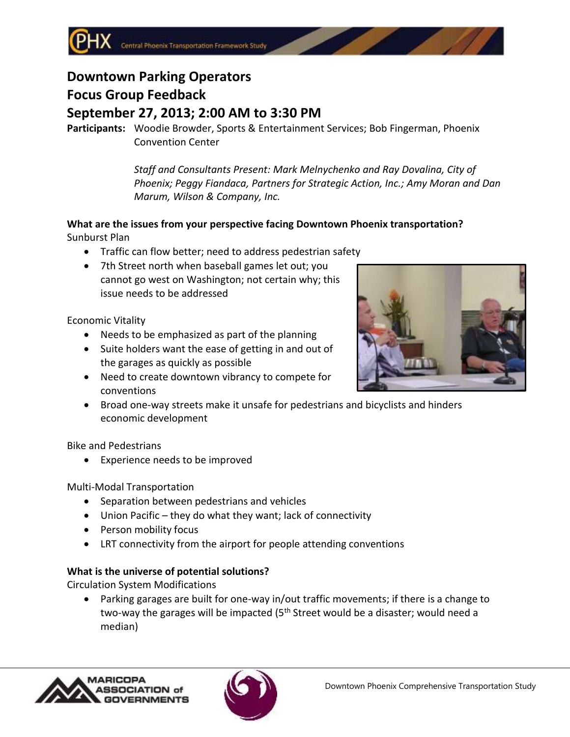# **Downtown Parking Operators Focus Group Feedback**

# **September 27, 2013; 2:00 AM to 3:30 PM**

**Participants:** Woodie Browder, Sports & Entertainment Services; Bob Fingerman, Phoenix Convention Center

> *Staff and Consultants Present: Mark Melnychenko and Ray Dovalina, City of Phoenix; Peggy Fiandaca, Partners for Strategic Action, Inc.; Amy Moran and Dan Marum, Wilson & Company, Inc.*

## **What are the issues from your perspective facing Downtown Phoenix transportation?** Sunburst Plan

- Traffic can flow better; need to address pedestrian safety
- 7th Street north when baseball games let out; you cannot go west on Washington; not certain why; this issue needs to be addressed

Economic Vitality

- Needs to be emphasized as part of the planning
- Suite holders want the ease of getting in and out of the garages as quickly as possible
- Need to create downtown vibrancy to compete for conventions
- Broad one-way streets make it unsafe for pedestrians and bicyclists and hinders economic development

Bike and Pedestrians

Experience needs to be improved

Multi-Modal Transportation

- Separation between pedestrians and vehicles
- Union Pacific they do what they want; lack of connectivity
- Person mobility focus
- LRT connectivity from the airport for people attending conventions

# **What is the universe of potential solutions?**

Circulation System Modifications

 Parking garages are built for one-way in/out traffic movements; if there is a change to two-way the garages will be impacted  $(5<sup>th</sup>$  Street would be a disaster; would need a median)





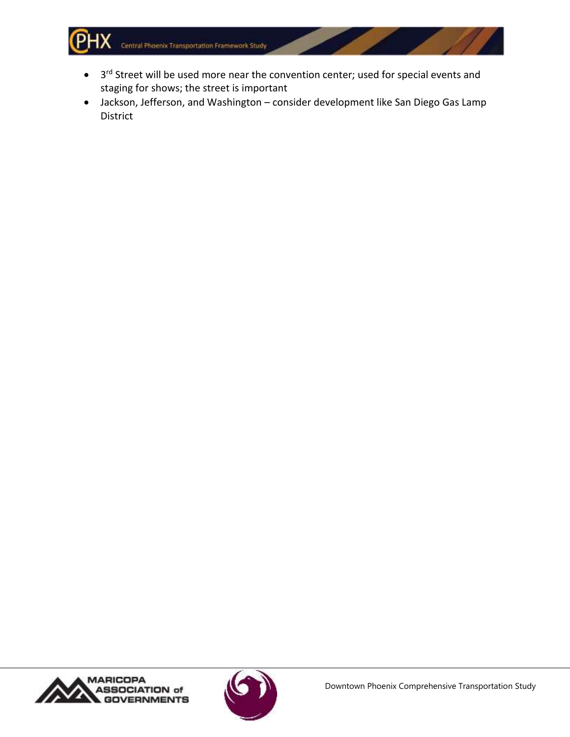Central Phoenix Transportation Framework Study

- $\bullet$  3<sup>rd</sup> Street will be used more near the convention center; used for special events and staging for shows; the street is important
- Jackson, Jefferson, and Washington consider development like San Diego Gas Lamp District



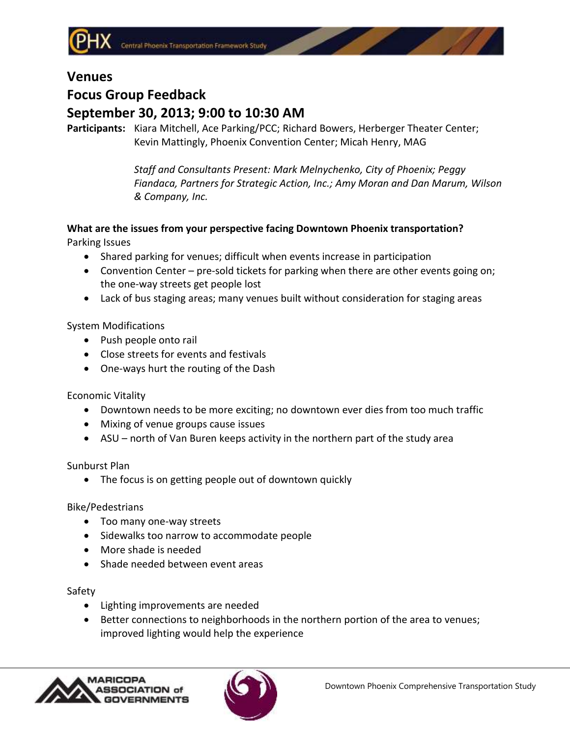

# **Venues**

# **Focus Group Feedback September 30, 2013; 9:00 to 10:30 AM**

**Participants:** Kiara Mitchell, Ace Parking/PCC; Richard Bowers, Herberger Theater Center; Kevin Mattingly, Phoenix Convention Center; Micah Henry, MAG

> *Staff and Consultants Present: Mark Melnychenko, City of Phoenix; Peggy Fiandaca, Partners for Strategic Action, Inc.; Amy Moran and Dan Marum, Wilson & Company, Inc.*

# **What are the issues from your perspective facing Downtown Phoenix transportation?** Parking Issues

- Shared parking for venues; difficult when events increase in participation
- Convention Center pre-sold tickets for parking when there are other events going on; the one-way streets get people lost
- Lack of bus staging areas; many venues built without consideration for staging areas

# System Modifications

- Push people onto rail
- Close streets for events and festivals
- One-ways hurt the routing of the Dash

Economic Vitality

- Downtown needs to be more exciting; no downtown ever dies from too much traffic
- Mixing of venue groups cause issues
- ASU north of Van Buren keeps activity in the northern part of the study area

Sunburst Plan

The focus is on getting people out of downtown quickly

Bike/Pedestrians

- Too many one-way streets
- Sidewalks too narrow to accommodate people
- More shade is needed
- Shade needed between event areas

Safety

- Lighting improvements are needed
- Better connections to neighborhoods in the northern portion of the area to venues; improved lighting would help the experience



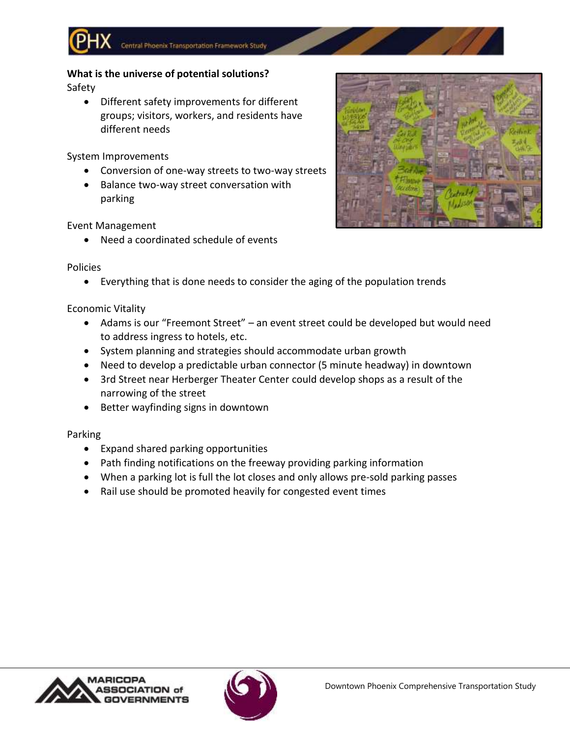**What is the universe of potential solutions?** Safety

 Different safety improvements for different groups; visitors, workers, and residents have different needs

System Improvements

- Conversion of one-way streets to two-way streets
- Balance two-way street conversation with parking

Event Management

Need a coordinated schedule of events



Policies

Everything that is done needs to consider the aging of the population trends

Economic Vitality

- Adams is our "Freemont Street" an event street could be developed but would need to address ingress to hotels, etc.
- System planning and strategies should accommodate urban growth
- Need to develop a predictable urban connector (5 minute headway) in downtown
- 3rd Street near Herberger Theater Center could develop shops as a result of the narrowing of the street
- Better wayfinding signs in downtown

Parking

- Expand shared parking opportunities
- Path finding notifications on the freeway providing parking information
- When a parking lot is full the lot closes and only allows pre-sold parking passes
- Rail use should be promoted heavily for congested event times



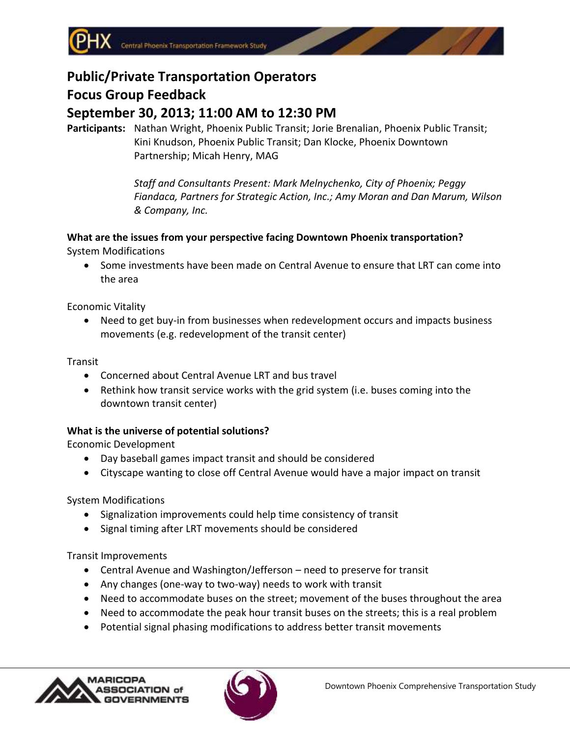# **Public/Private Transportation Operators Focus Group Feedback September 30, 2013; 11:00 AM to 12:30 PM**

**Participants:** Nathan Wright, Phoenix Public Transit; Jorie Brenalian, Phoenix Public Transit; Kini Knudson, Phoenix Public Transit; Dan Klocke, Phoenix Downtown Partnership; Micah Henry, MAG

> *Staff and Consultants Present: Mark Melnychenko, City of Phoenix; Peggy Fiandaca, Partners for Strategic Action, Inc.; Amy Moran and Dan Marum, Wilson & Company, Inc.*

# **What are the issues from your perspective facing Downtown Phoenix transportation?** System Modifications

 Some investments have been made on Central Avenue to ensure that LRT can come into the area

Economic Vitality

 Need to get buy-in from businesses when redevelopment occurs and impacts business movements (e.g. redevelopment of the transit center)

Transit

- Concerned about Central Avenue LRT and bus travel
- Rethink how transit service works with the grid system (i.e. buses coming into the downtown transit center)

# **What is the universe of potential solutions?**

Economic Development

- Day baseball games impact transit and should be considered
- Cityscape wanting to close off Central Avenue would have a major impact on transit

System Modifications

- Signalization improvements could help time consistency of transit
- Signal timing after LRT movements should be considered

Transit Improvements

- Central Avenue and Washington/Jefferson need to preserve for transit
- Any changes (one-way to two-way) needs to work with transit
- Need to accommodate buses on the street; movement of the buses throughout the area
- Need to accommodate the peak hour transit buses on the streets; this is a real problem
- Potential signal phasing modifications to address better transit movements



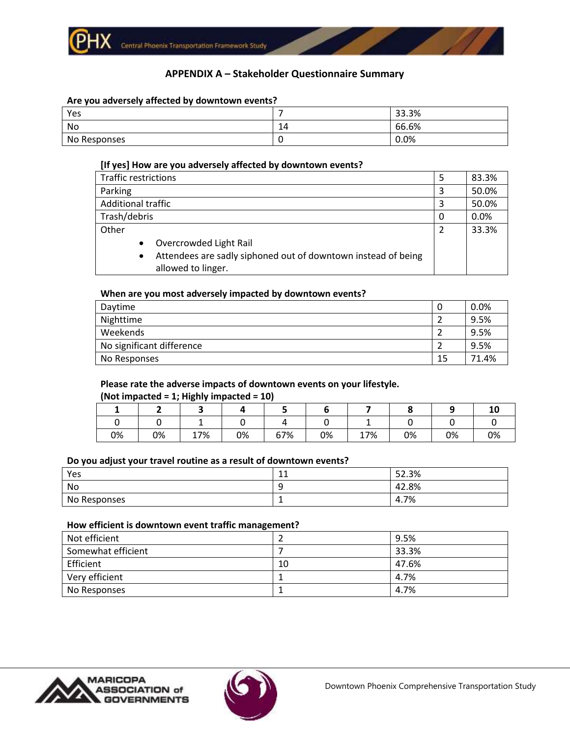

## **APPENDIX A – Stakeholder Questionnaire Summary**

#### **Are you adversely affected by downtown events?**

| Yes          |    | 33.3% |
|--------------|----|-------|
| No           | 14 | 66.6% |
| No Responses |    | 0.0%  |

#### **[If yes] How are you adversely affected by downtown events?**

| <b>Traffic restrictions</b> |                                                                                     | 5 | 83.3% |
|-----------------------------|-------------------------------------------------------------------------------------|---|-------|
| Parking                     |                                                                                     | 3 | 50.0% |
| <b>Additional traffic</b>   |                                                                                     | 3 | 50.0% |
| Trash/debris                |                                                                                     | 0 | 0.0%  |
| Other                       |                                                                                     | 2 | 33.3% |
| $\bullet$                   | Overcrowded Light Rail                                                              |   |       |
| $\bullet$                   | Attendees are sadly siphoned out of downtown instead of being<br>allowed to linger. |   |       |

#### **When are you most adversely impacted by downtown events?**

| Daytime                   | 0  | 0.0%  |
|---------------------------|----|-------|
| Nighttime                 |    | 9.5%  |
| Weekends                  |    | 9.5%  |
| No significant difference |    | 9.5%  |
| No Responses              | 15 | 71.4% |

#### **Please rate the adverse impacts of downtown events on your lifestyle.**

#### **(Not impacted = 1; Highly impacted = 10)**

| 0% | 0% | 17% | 0% | 67% | 0% | 17% | 0% | 0% | 0% |
|----|----|-----|----|-----|----|-----|----|----|----|

#### **Do you adjust your travel routine as a result of downtown events?**

| Yes          | $\sim$<br>ᆂᆂ  | 52.3% |
|--------------|---------------|-------|
| No           | ◡<br>ـ        | 42.8% |
| No Responses | <u>. на т</u> | 4.7%  |

#### **How efficient is downtown event traffic management?**

| Not efficient      |    | 9.5%  |
|--------------------|----|-------|
| Somewhat efficient |    | 33.3% |
| Efficient          | 10 | 47.6% |
| Very efficient     |    | 4.7%  |
| No Responses       |    | 4.7%  |



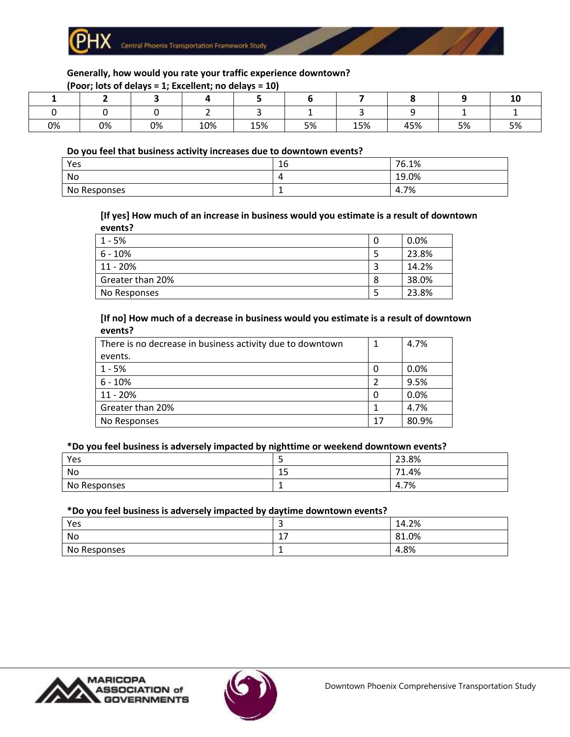

#### **Generally, how would you rate your traffic experience downtown?**

|    | (Poor; lots of delays = 1; Excellent; no delays = 10) |    |     |     |    |     |     |    |    |
|----|-------------------------------------------------------|----|-----|-----|----|-----|-----|----|----|
|    |                                                       |    |     |     |    |     |     |    |    |
|    |                                                       |    |     |     |    |     |     |    |    |
| 0% | 0%                                                    | 0% | 10% | 15% | 5% | 15% | 45% | 5% | 5% |

#### **Do you feel that business activity increases due to downtown events?**

| Yes          | $\sim$<br>Ίp | 76.1% |
|--------------|--------------|-------|
| No           | -            | 19.0% |
| No Responses |              | 4.7%  |

#### **[If yes] How much of an increase in business would you estimate is a result of downtown events?**

| 1 - 5%           | 0 | 0.0%  |
|------------------|---|-------|
| $6 - 10\%$       |   | 23.8% |
| $11 - 20%$       |   | 14.2% |
| Greater than 20% | 8 | 38.0% |
| No Responses     |   | 23.8% |

#### **[If no] How much of a decrease in business would you estimate is a result of downtown events?**

| There is no decrease in business activity due to downtown |    | 4.7%  |
|-----------------------------------------------------------|----|-------|
| events.                                                   |    |       |
| $1 - 5%$                                                  | 0  | 0.0%  |
| $6 - 10%$                                                 |    | 9.5%  |
| 11 - 20%                                                  | 0  | 0.0%  |
| Greater than 20%                                          |    | 4.7%  |
| No Responses                                              | 17 | 80.9% |

#### **\*Do you feel business is adversely impacted by nighttime or weekend downtown events?**

| Yes          | ٠       | 23.8%      |
|--------------|---------|------------|
| No           | -<br>ر⊥ | 1.4%<br>74 |
| No Responses |         | 4.7%       |

#### **\*Do you feel business is adversely impacted by daytime downtown events?**

| Yes          | ۔        | 14.2% |
|--------------|----------|-------|
| No           | -        | 81.0% |
| No Responses | <b>.</b> | 4.8%  |



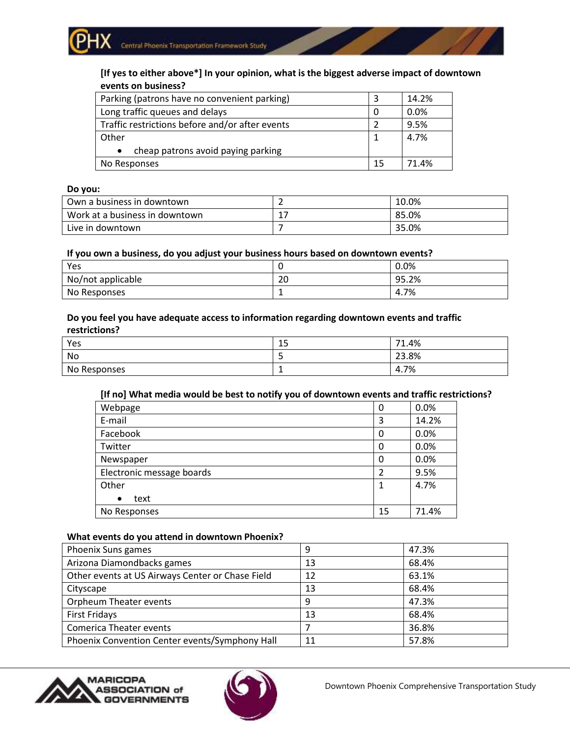# **[If yes to either above\*] In your opinion, what is the biggest adverse impact of downtown events on business?**

| Parking (patrons have no convenient parking)    |    | 14.2% |
|-------------------------------------------------|----|-------|
| Long traffic queues and delays                  |    | 0.0%  |
| Traffic restrictions before and/or after events | っ  | 9.5%  |
| Other                                           |    | 4.7%  |
| cheap patrons avoid paying parking<br>$\bullet$ |    |       |
| No Responses                                    | 15 | 71.4% |

#### **Do you:**

| Own a business in downtown     |          | 10.0% |
|--------------------------------|----------|-------|
| Work at a business in downtown | <b>+</b> | 85.0% |
| Live in downtown               |          | 35.0% |

#### **If you own a business, do you adjust your business hours based on downtown events?**

| Yes               |          | 0.0%  |
|-------------------|----------|-------|
| No/not applicable | ാറ<br>20 | 95.2% |
| No Responses      |          | 4.7%  |

#### **Do you feel you have adequate access to information regarding downtown events and traffic restrictions?**

| Yes          | $\sim$<br>ᅩ | 71.4% |
|--------------|-------------|-------|
| No           | ٮ           | 23.8% |
| No Responses | . .         | 4.7%  |

#### **[If no] What media would be best to notify you of downtown events and traffic restrictions?**

| Webpage                   | 0              | 0.0%  |
|---------------------------|----------------|-------|
| E-mail                    | 3              | 14.2% |
| Facebook                  | 0              | 0.0%  |
| Twitter                   | 0              | 0.0%  |
| Newspaper                 | 0              | 0.0%  |
| Electronic message boards | $\overline{2}$ | 9.5%  |
| Other                     |                | 4.7%  |
| text<br>$\bullet$         |                |       |
| No Responses              | 15             | 71.4% |

#### **What events do you attend in downtown Phoenix?**

| Phoenix Suns games                               | 9  | 47.3% |
|--------------------------------------------------|----|-------|
| Arizona Diamondbacks games                       | 13 | 68.4% |
| Other events at US Airways Center or Chase Field | 12 | 63.1% |
| Cityscape                                        | 13 | 68.4% |
| Orpheum Theater events                           | 9  | 47.3% |
| <b>First Fridays</b>                             | 13 | 68.4% |
| <b>Comerica Theater events</b>                   |    | 36.8% |
| Phoenix Convention Center events/Symphony Hall   | 11 | 57.8% |



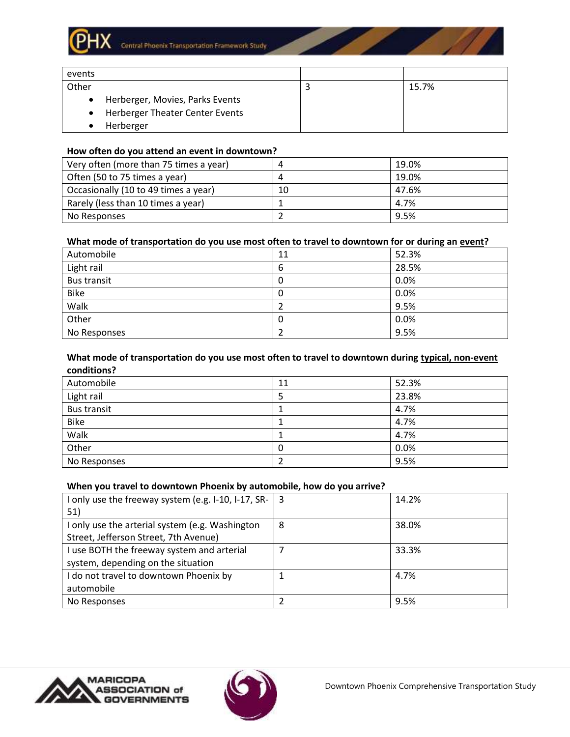

| events |                                 |       |
|--------|---------------------------------|-------|
| Other  |                                 | 15.7% |
|        | Herberger, Movies, Parks Events |       |
|        | Herberger Theater Center Events |       |
|        | Herberger                       |       |

#### **How often do you attend an event in downtown?**

| Very often (more than 75 times a year) |    | 19.0% |
|----------------------------------------|----|-------|
| Often (50 to 75 times a year)          |    | 19.0% |
| Occasionally (10 to 49 times a year)   | 10 | 47.6% |
| Rarely (less than 10 times a year)     |    | 4.7%  |
| No Responses                           |    | 9.5%  |

#### **What mode of transportation do you use most often to travel to downtown for or during an event?**

| Automobile         | 11 | 52.3% |
|--------------------|----|-------|
| Light rail         | 6  | 28.5% |
| <b>Bus transit</b> | 0  | 0.0%  |
| <b>Bike</b>        | 0  | 0.0%  |
| Walk               |    | 9.5%  |
| Other              | 0  | 0.0%  |
| No Responses       |    | 9.5%  |

#### **What mode of transportation do you use most often to travel to downtown during typical, non-event conditions?**

| Automobile         | 11 | 52.3% |
|--------------------|----|-------|
| Light rail         | 5  | 23.8% |
| <b>Bus transit</b> |    | 4.7%  |
| <b>Bike</b>        |    | 4.7%  |
| Walk               |    | 4.7%  |
| Other              | 0  | 0.0%  |
| No Responses       |    | 9.5%  |

#### **When you travel to downtown Phoenix by automobile, how do you arrive?**

| I only use the freeway system (e.g. I-10, I-17, SR- $\vert$ 3 |   | 14.2% |
|---------------------------------------------------------------|---|-------|
| 51)                                                           |   |       |
| I only use the arterial system (e.g. Washington               | 8 | 38.0% |
| Street, Jefferson Street, 7th Avenue)                         |   |       |
| I use BOTH the freeway system and arterial                    |   | 33.3% |
| system, depending on the situation                            |   |       |
| I do not travel to downtown Phoenix by                        |   | 4.7%  |
| automobile                                                    |   |       |
| No Responses                                                  |   | 9.5%  |
|                                                               |   |       |





**Contract Contract Contract Contract Contract**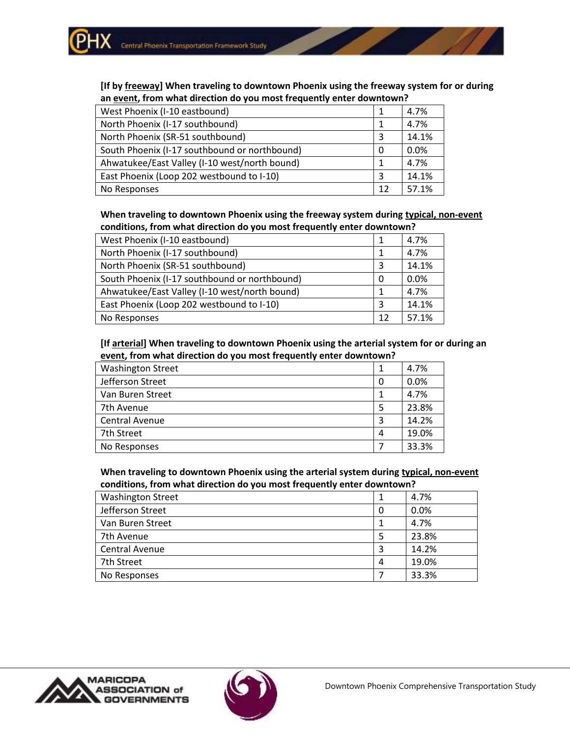**[If by freeway] When traveling to downtown Phoenix using the freeway system for or during an event, from what direction do you most frequently enter downtown?**

| West Phoenix (I-10 eastbound)                 |    | 4.7%  |
|-----------------------------------------------|----|-------|
| North Phoenix (I-17 southbound)               |    | 4.7%  |
| North Phoenix (SR-51 southbound)              | 3  | 14.1% |
| South Phoenix (I-17 southbound or northbound) | 0  | 0.0%  |
| Ahwatukee/East Valley (I-10 west/north bound) |    | 4.7%  |
| East Phoenix (Loop 202 westbound to I-10)     | 3  | 14.1% |
| No Responses                                  | 12 | 57.1% |

**When traveling to downtown Phoenix using the freeway system during typical, non-event conditions, from what direction do you most frequently enter downtown?**

| West Phoenix (I-10 eastbound)                 |    | 4.7%  |
|-----------------------------------------------|----|-------|
| North Phoenix (I-17 southbound)               |    | 4.7%  |
| North Phoenix (SR-51 southbound)              |    | 14.1% |
| South Phoenix (I-17 southbound or northbound) | 0  | 0.0%  |
| Ahwatukee/East Valley (I-10 west/north bound) |    | 4.7%  |
| East Phoenix (Loop 202 westbound to I-10)     | ς  | 14.1% |
| No Responses                                  | 12 | 57.1% |

**[If arterial] When traveling to downtown Phoenix using the arterial system for or during an event, from what direction do you most frequently enter downtown?**

| <b>Washington Street</b> |   | 4.7%  |
|--------------------------|---|-------|
| Jefferson Street         | 0 | 0.0%  |
| Van Buren Street         |   | 4.7%  |
| 7th Avenue               |   | 23.8% |
| Central Avenue           | 3 | 14.2% |
| 7th Street               | 4 | 19.0% |
| No Responses             |   | 33.3% |

**When traveling to downtown Phoenix using the arterial system during typical, non-event conditions, from what direction do you most frequently enter downtown?**

| <b>Washington Street</b> |   | 4.7%  |  |
|--------------------------|---|-------|--|
| Jefferson Street         | 0 | 0.0%  |  |
| Van Buren Street         |   | 4.7%  |  |
| 7th Avenue               | 5 | 23.8% |  |
| Central Avenue           | 3 | 14.2% |  |
| 7th Street               | 4 | 19.0% |  |
| No Responses             |   | 33.3% |  |



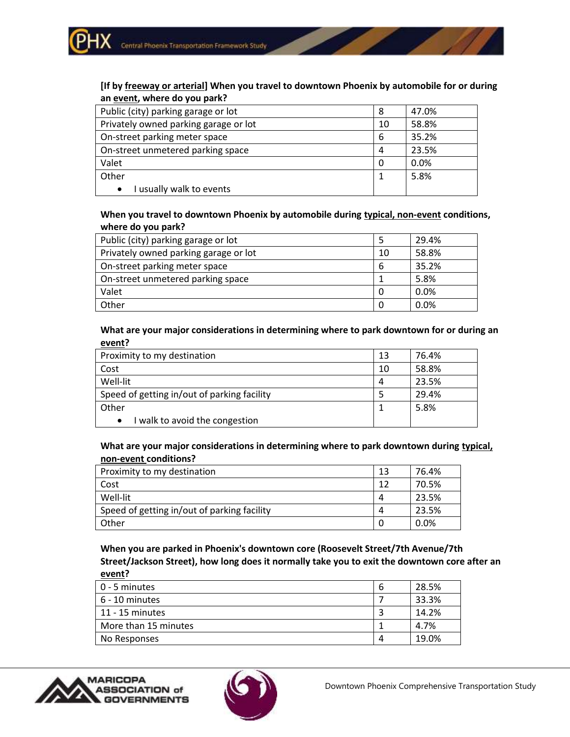#### **[If by freeway or arterial] When you travel to downtown Phoenix by automobile for or during an event, where do you park?**

| Public (city) parking garage or lot   | 8  | 47.0% |
|---------------------------------------|----|-------|
| Privately owned parking garage or lot | 10 | 58.8% |
| On-street parking meter space         | 6  | 35.2% |
| On-street unmetered parking space     | 4  | 23.5% |
| Valet                                 |    | 0.0%  |
| Other                                 |    | 5.8%  |
| I usually walk to events<br>$\bullet$ |    |       |

#### **When you travel to downtown Phoenix by automobile during typical, non-event conditions, where do you park?**

| Public (city) parking garage or lot   |    | 29.4% |
|---------------------------------------|----|-------|
| Privately owned parking garage or lot | 10 | 58.8% |
| On-street parking meter space         | 6  | 35.2% |
| On-street unmetered parking space     |    | 5.8%  |
| Valet                                 |    | 0.0%  |
| Other                                 |    | 0.0%  |

#### **What are your major considerations in determining where to park downtown for or during an event?**

| Proximity to my destination                 | 13 | 76.4% |
|---------------------------------------------|----|-------|
| Cost                                        | 10 | 58.8% |
| Well-lit                                    | 4  | 23.5% |
| Speed of getting in/out of parking facility |    | 29.4% |
| Other                                       |    | 5.8%  |
| I walk to avoid the congestion<br>$\bullet$ |    |       |

#### **What are your major considerations in determining where to park downtown during typical, non-event conditions?**

| Proximity to my destination                 | 13       | 76.4%   |
|---------------------------------------------|----------|---------|
| Cost                                        | 12       | 70.5%   |
| Well-lit                                    | 4        | 23.5%   |
| Speed of getting in/out of parking facility | $\prime$ | 23.5%   |
| . Other                                     |          | $0.0\%$ |

**When you are parked in Phoenix's downtown core (Roosevelt Street/7th Avenue/7th Street/Jackson Street), how long does it normally take you to exit the downtown core after an event?**

| l 0 - 5 minutes      | 6 | 28.5% |
|----------------------|---|-------|
| $6 - 10$ minutes     |   | 33.3% |
| 11 - 15 minutes      |   | 14.2% |
| More than 15 minutes |   | 4.7%  |
| No Responses         | 4 | 19.0% |



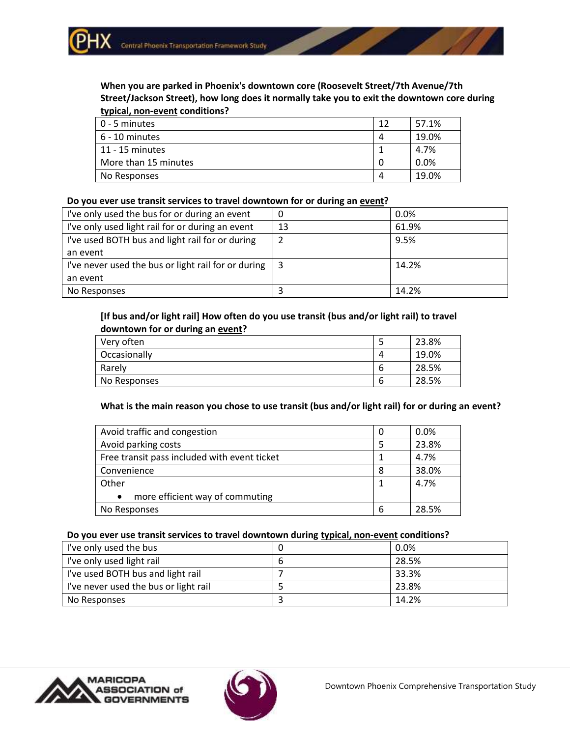#### **When you are parked in Phoenix's downtown core (Roosevelt Street/7th Avenue/7th Street/Jackson Street), how long does it normally take you to exit the downtown core during typical, non-event conditions?**

| $\vert$ 0 - 5 minutes | 12 | 57.1% |
|-----------------------|----|-------|
| $6 - 10$ minutes      | 4  | 19.0% |
| 11 - 15 minutes       |    | 4.7%  |
| More than 15 minutes  | 0  | 0.0%  |
| No Responses          | 4  | 19.0% |

#### **Do you ever use transit services to travel downtown for or during an event?**

| I've only used the bus for or during an event       | 0  | $0.0\%$ |
|-----------------------------------------------------|----|---------|
| I've only used light rail for or during an event    | 13 | 61.9%   |
| I've used BOTH bus and light rail for or during     | 2  | 9.5%    |
| an event                                            |    |         |
| I've never used the bus or light rail for or during |    | 14.2%   |
| an event                                            |    |         |
| No Responses                                        |    | 14.2%   |

## **[If bus and/or light rail] How often do you use transit (bus and/or light rail) to travel downtown for or during an event?**

| Very often   | כ | 23.8% |
|--------------|---|-------|
| Occasionally | 4 | 19.0% |
| Rarely       | b | 28.5% |
| No Responses | b | 28.5% |

## **What is the main reason you chose to use transit (bus and/or light rail) for or during an event?**

| Avoid traffic and congestion                 |   | 0.0%  |
|----------------------------------------------|---|-------|
| Avoid parking costs                          | 5 | 23.8% |
| Free transit pass included with event ticket |   | 4.7%  |
| Convenience                                  | 8 | 38.0% |
| Other                                        |   | 4.7%  |
| more efficient way of commuting<br>$\bullet$ |   |       |
| No Responses                                 | 6 | 28.5% |

## **Do you ever use transit services to travel downtown during typical, non-event conditions?**

| I've only used the bus                | 0.0%  |
|---------------------------------------|-------|
| I've only used light rail             | 28.5% |
| I've used BOTH bus and light rail     | 33.3% |
| I've never used the bus or light rail | 23.8% |
| No Responses                          | 14.2% |



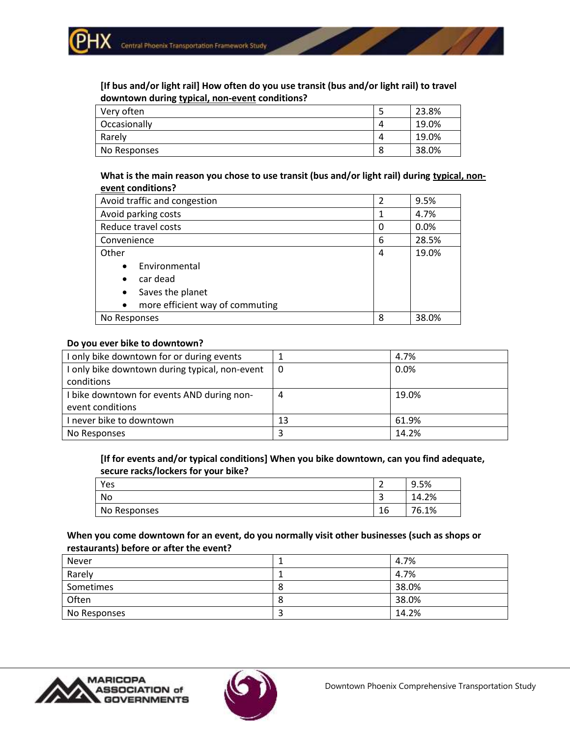**[If bus and/or light rail] How often do you use transit (bus and/or light rail) to travel downtown during typical, non-event conditions?**

| Very often   | ر | 23.8% |
|--------------|---|-------|
| Occasionally |   | 19.0% |
| Rarely       |   | 19.0% |
| No Responses | 8 | 38.0% |

**What is the main reason you chose to use transit (bus and/or light rail) during typical, nonevent conditions?**

| Avoid traffic and congestion                 | $\overline{2}$ | 9.5%  |
|----------------------------------------------|----------------|-------|
| Avoid parking costs                          | 1              | 4.7%  |
| Reduce travel costs                          | 0              | 0.0%  |
| Convenience                                  | 6              | 28.5% |
| Other                                        | 4              | 19.0% |
| Environmental<br>$\bullet$                   |                |       |
| car dead<br>$\bullet$                        |                |       |
| Saves the planet<br>$\bullet$                |                |       |
| more efficient way of commuting<br>$\bullet$ |                |       |
| No Responses                                 | 8              | 38.0% |

#### **Do you ever bike to downtown?**

| I only bike downtown for or during events      |    | 4.7%  |
|------------------------------------------------|----|-------|
| I only bike downtown during typical, non-event | 0  | 0.0%  |
| conditions                                     |    |       |
| I bike downtown for events AND during non-     | 4  | 19.0% |
| event conditions                               |    |       |
| I never bike to downtown                       | 13 | 61.9% |
| No Responses                                   |    | 14.2% |

**[If for events and/or typical conditions] When you bike downtown, can you find adequate, secure racks/lockers for your bike?**

| Yes          | ∽<br>- | 9.5%  |
|--------------|--------|-------|
| No           | ∽<br>ັ | 14.2% |
| No Responses | 16     | 76.1% |

**When you come downtown for an event, do you normally visit other businesses (such as shops or restaurants) before or after the event?**

| Never        | 4.7%  |
|--------------|-------|
| Rarely       | 4.7%  |
| Sometimes    | 38.0% |
| Often        | 38.0% |
| No Responses | 14.2% |



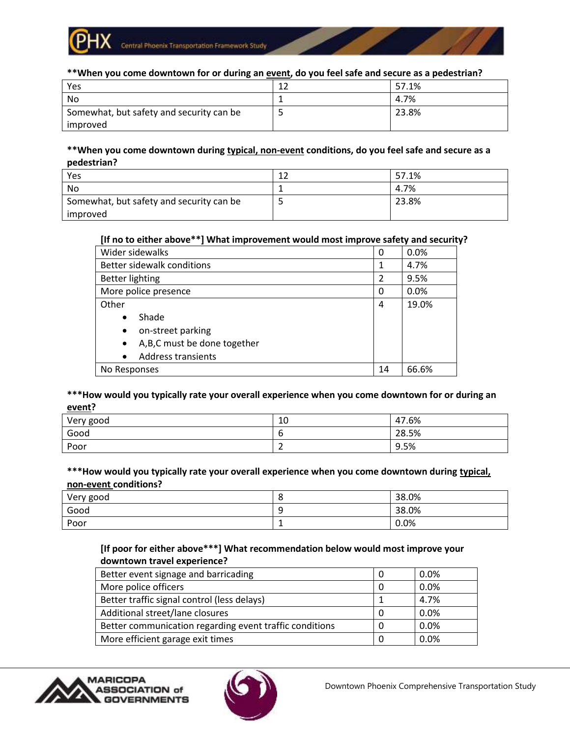

**\*\*When you come downtown for or during an event, do you feel safe and secure as a pedestrian?**

| Yes                                      | $\sim$ | 57.1% |
|------------------------------------------|--------|-------|
| No                                       |        | 4.7%  |
| Somewhat, but safety and security can be |        | 23.8% |
| improved                                 |        |       |

#### **\*\*When you come downtown during typical, non-event conditions, do you feel safe and secure as a pedestrian?**

| Yes                                      | 12 | 57.1% |
|------------------------------------------|----|-------|
| No                                       |    | 4.7%  |
| Somewhat, but safety and security can be |    | 23.8% |
| improved                                 |    |       |

## **[If no to either above\*\*] What improvement would most improve safety and security?**

| Wider sidewalks                          | 0  | 0.0%  |
|------------------------------------------|----|-------|
| Better sidewalk conditions               |    | 4.7%  |
| <b>Better lighting</b>                   | 2  | 9.5%  |
| More police presence                     | 0  | 0.0%  |
| Other                                    | 4  | 19.0% |
| Shade<br>$\bullet$                       |    |       |
| on-street parking<br>$\bullet$           |    |       |
| A,B,C must be done together<br>$\bullet$ |    |       |
| <b>Address transients</b><br>$\bullet$   |    |       |
| No Responses                             | 14 | 66.6% |

#### **\*\*\*How would you typically rate your overall experience when you come downtown for or during an event?**

| Very good | 10 | 47.6% |
|-----------|----|-------|
| Good      | u  | 28.5% |
| Poor      | _  | 9.5%  |

#### **\*\*\*How would you typically rate your overall experience when you come downtown during typical, non-event conditions?**

| Very good |          | 38.0% |
|-----------|----------|-------|
|           | ີ        |       |
| Good      | -C.<br>- | 38.0% |
| Poor      | ÷        | 0.0%  |

## **[If poor for either above\*\*\*] What recommendation below would most improve your downtown travel experience?**

| Better event signage and barricading                    | 0.0% |
|---------------------------------------------------------|------|
| More police officers                                    | 0.0% |
| Better traffic signal control (less delays)             | 4.7% |
| Additional street/lane closures                         | 0.0% |
| Better communication regarding event traffic conditions | 0.0% |
| More efficient garage exit times                        | 0.0% |